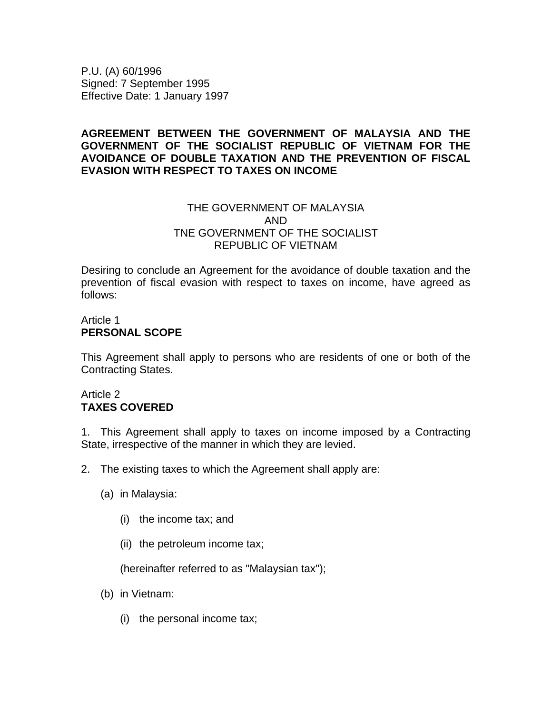P.U. (A) 60/1996 Signed: 7 September 1995 Effective Date: 1 January 1997

### **AGREEMENT BETWEEN THE GOVERNMENT OF MALAYSIA AND THE GOVERNMENT OF THE SOCIALIST REPUBLIC OF VIETNAM FOR THE AVOIDANCE OF DOUBLE TAXATION AND THE PREVENTION OF FISCAL EVASION WITH RESPECT TO TAXES ON INCOME**

### THE GOVERNMENT OF MALAYSIA AND TNE GOVERNMENT OF THE SOCIALIST REPUBLIC OF VIETNAM

Desiring to conclude an Agreement for the avoidance of double taxation and the prevention of fiscal evasion with respect to taxes on income, have agreed as follows:

## Article 1 **PERSONAL SCOPE**

This Agreement shall apply to persons who are residents of one or both of the Contracting States.

## Article 2 **TAXES COVERED**

1. This Agreement shall apply to taxes on income imposed by a Contracting State, irrespective of the manner in which they are levied.

- 2. The existing taxes to which the Agreement shall apply are:
	- (a) in Malaysia:
		- (i) the income tax; and
		- (ii) the petroleum income tax;

(hereinafter referred to as "Malaysian tax");

- (b) in Vietnam:
	- (i) the personal income tax;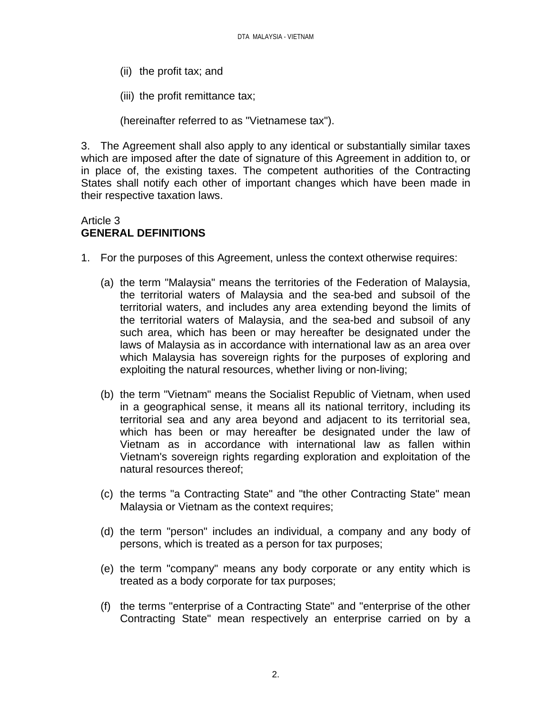- (ii) the profit tax; and
- (iii) the profit remittance tax;

(hereinafter referred to as "Vietnamese tax").

3. The Agreement shall also apply to any identical or substantially similar taxes which are imposed after the date of signature of this Agreement in addition to, or in place of, the existing taxes. The competent authorities of the Contracting States shall notify each other of important changes which have been made in their respective taxation laws.

## Article 3 **GENERAL DEFINITIONS**

- 1. For the purposes of this Agreement, unless the context otherwise requires:
	- (a) the term "Malaysia" means the territories of the Federation of Malaysia, the territorial waters of Malaysia and the sea-bed and subsoil of the territorial waters, and includes any area extending beyond the limits of the territorial waters of Malaysia, and the sea-bed and subsoil of any such area, which has been or may hereafter be designated under the laws of Malaysia as in accordance with international law as an area over which Malaysia has sovereign rights for the purposes of exploring and exploiting the natural resources, whether living or non-living;
	- (b) the term "Vietnam" means the Socialist Republic of Vietnam, when used in a geographical sense, it means all its national territory, including its territorial sea and any area beyond and adjacent to its territorial sea, which has been or may hereafter be designated under the law of Vietnam as in accordance with international law as fallen within Vietnam's sovereign rights regarding exploration and exploitation of the natural resources thereof;
	- (c) the terms "a Contracting State" and "the other Contracting State" mean Malaysia or Vietnam as the context requires;
	- (d) the term "person" includes an individual, a company and any body of persons, which is treated as a person for tax purposes;
	- (e) the term "company" means any body corporate or any entity which is treated as a body corporate for tax purposes;
	- (f) the terms "enterprise of a Contracting State" and "enterprise of the other Contracting State" mean respectively an enterprise carried on by a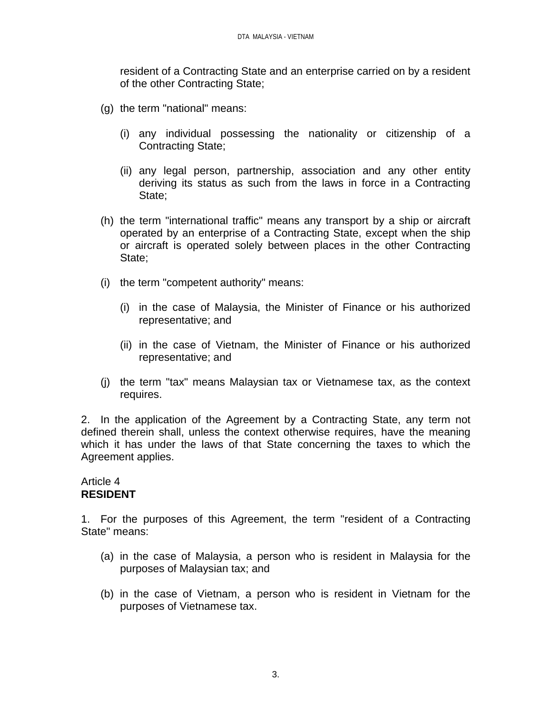resident of a Contracting State and an enterprise carried on by a resident of the other Contracting State;

- (g) the term "national" means:
	- (i) any individual possessing the nationality or citizenship of a Contracting State;
	- (ii) any legal person, partnership, association and any other entity deriving its status as such from the laws in force in a Contracting State;
- (h) the term "international traffic" means any transport by a ship or aircraft operated by an enterprise of a Contracting State, except when the ship or aircraft is operated solely between places in the other Contracting State;
- (i) the term "competent authority" means:
	- (i) in the case of Malaysia, the Minister of Finance or his authorized representative; and
	- (ii) in the case of Vietnam, the Minister of Finance or his authorized representative; and
- (j) the term "tax" means Malaysian tax or Vietnamese tax, as the context requires.

2. In the application of the Agreement by a Contracting State, any term not defined therein shall, unless the context otherwise requires, have the meaning which it has under the laws of that State concerning the taxes to which the Agreement applies.

#### Article 4 **RESIDENT**

1. For the purposes of this Agreement, the term "resident of a Contracting State" means:

- (a) in the case of Malaysia, a person who is resident in Malaysia for the purposes of Malaysian tax; and
- (b) in the case of Vietnam, a person who is resident in Vietnam for the purposes of Vietnamese tax.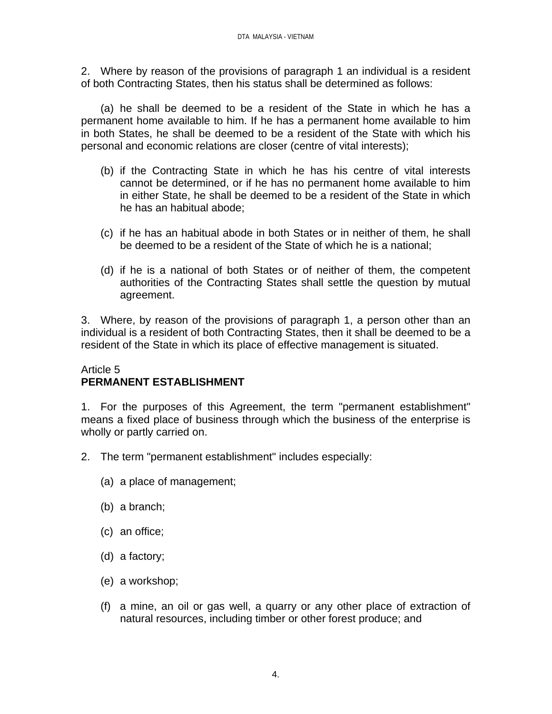2. Where by reason of the provisions of paragraph 1 an individual is a resident of both Contracting States, then his status shall be determined as follows:

(a) he shall be deemed to be a resident of the State in which he has a permanent home available to him. If he has a permanent home available to him in both States, he shall be deemed to be a resident of the State with which his personal and economic relations are closer (centre of vital interests);

- (b) if the Contracting State in which he has his centre of vital interests cannot be determined, or if he has no permanent home available to him in either State, he shall be deemed to be a resident of the State in which he has an habitual abode;
- (c) if he has an habitual abode in both States or in neither of them, he shall be deemed to be a resident of the State of which he is a national;
- (d) if he is a national of both States or of neither of them, the competent authorities of the Contracting States shall settle the question by mutual agreement.

3. Where, by reason of the provisions of paragraph 1, a person other than an individual is a resident of both Contracting States, then it shall be deemed to be a resident of the State in which its place of effective management is situated.

## Article 5 **PERMANENT ESTABLISHMENT**

1. For the purposes of this Agreement, the term "permanent establishment" means a fixed place of business through which the business of the enterprise is wholly or partly carried on.

- 2. The term "permanent establishment" includes especially:
	- (a) a place of management;
	- (b) a branch;
	- (c) an office;
	- (d) a factory;
	- (e) a workshop;
	- (f) a mine, an oil or gas well, a quarry or any other place of extraction of natural resources, including timber or other forest produce; and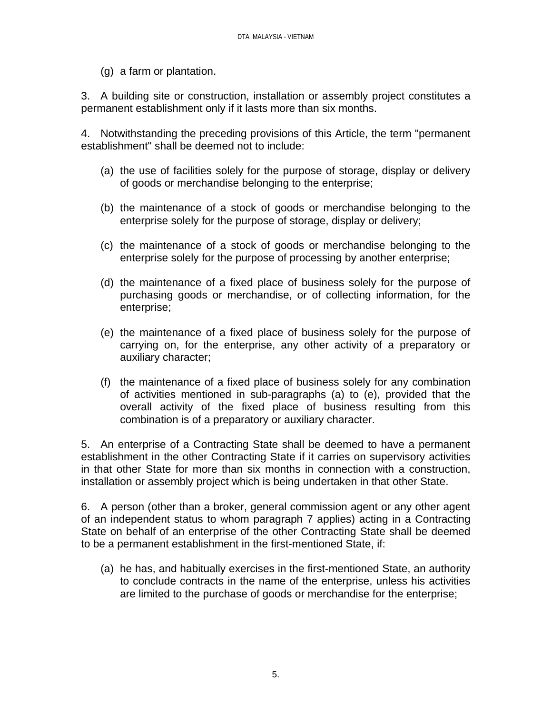(g) a farm or plantation.

3. A building site or construction, installation or assembly project constitutes a permanent establishment only if it lasts more than six months.

4. Notwithstanding the preceding provisions of this Article, the term "permanent establishment" shall be deemed not to include:

- (a) the use of facilities solely for the purpose of storage, display or delivery of goods or merchandise belonging to the enterprise;
- (b) the maintenance of a stock of goods or merchandise belonging to the enterprise solely for the purpose of storage, display or delivery;
- (c) the maintenance of a stock of goods or merchandise belonging to the enterprise solely for the purpose of processing by another enterprise;
- (d) the maintenance of a fixed place of business solely for the purpose of purchasing goods or merchandise, or of collecting information, for the enterprise;
- (e) the maintenance of a fixed place of business solely for the purpose of carrying on, for the enterprise, any other activity of a preparatory or auxiliary character;
- (f) the maintenance of a fixed place of business solely for any combination of activities mentioned in sub-paragraphs (a) to (e), provided that the overall activity of the fixed place of business resulting from this combination is of a preparatory or auxiliary character.

5. An enterprise of a Contracting State shall be deemed to have a permanent establishment in the other Contracting State if it carries on supervisory activities in that other State for more than six months in connection with a construction, installation or assembly project which is being undertaken in that other State.

6. A person (other than a broker, general commission agent or any other agent of an independent status to whom paragraph 7 applies) acting in a Contracting State on behalf of an enterprise of the other Contracting State shall be deemed to be a permanent establishment in the first-mentioned State, if:

(a) he has, and habitually exercises in the first-mentioned State, an authority to conclude contracts in the name of the enterprise, unless his activities are limited to the purchase of goods or merchandise for the enterprise;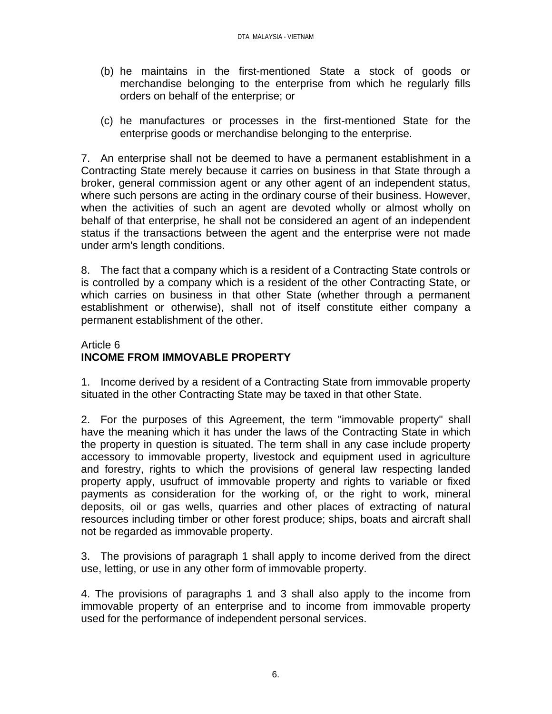- (b) he maintains in the first-mentioned State a stock of goods or merchandise belonging to the enterprise from which he regularly fills orders on behalf of the enterprise; or
- (c) he manufactures or processes in the first-mentioned State for the enterprise goods or merchandise belonging to the enterprise.

7. An enterprise shall not be deemed to have a permanent establishment in a Contracting State merely because it carries on business in that State through a broker, general commission agent or any other agent of an independent status, where such persons are acting in the ordinary course of their business. However, when the activities of such an agent are devoted wholly or almost wholly on behalf of that enterprise, he shall not be considered an agent of an independent status if the transactions between the agent and the enterprise were not made under arm's length conditions.

8. The fact that a company which is a resident of a Contracting State controls or is controlled by a company which is a resident of the other Contracting State, or which carries on business in that other State (whether through a permanent establishment or otherwise), shall not of itself constitute either company a permanent establishment of the other.

#### Article 6 **INCOME FROM IMMOVABLE PROPERTY**

1. Income derived by a resident of a Contracting State from immovable property situated in the other Contracting State may be taxed in that other State.

2. For the purposes of this Agreement, the term "immovable property" shall have the meaning which it has under the laws of the Contracting State in which the property in question is situated. The term shall in any case include property accessory to immovable property, livestock and equipment used in agriculture and forestry, rights to which the provisions of general law respecting landed property apply, usufruct of immovable property and rights to variable or fixed payments as consideration for the working of, or the right to work, mineral deposits, oil or gas wells, quarries and other places of extracting of natural resources including timber or other forest produce; ships, boats and aircraft shall not be regarded as immovable property.

3. The provisions of paragraph 1 shall apply to income derived from the direct use, letting, or use in any other form of immovable property.

4. The provisions of paragraphs 1 and 3 shall also apply to the income from immovable property of an enterprise and to income from immovable property used for the performance of independent personal services.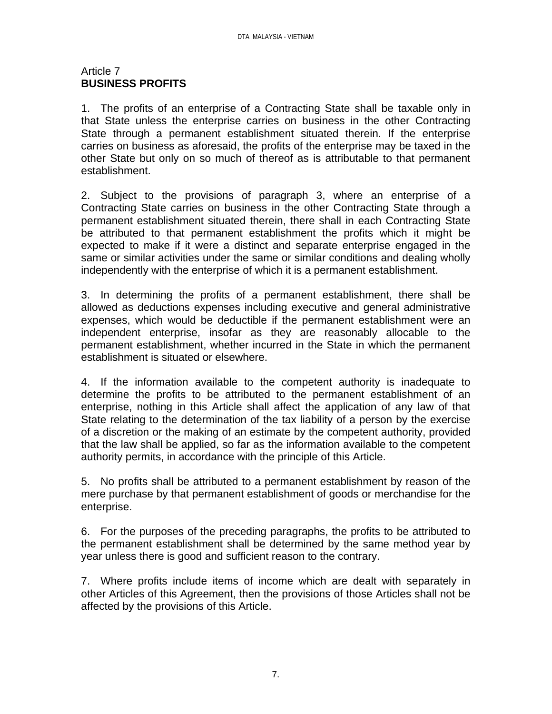#### Article 7 **BUSINESS PROFITS**

1. The profits of an enterprise of a Contracting State shall be taxable only in that State unless the enterprise carries on business in the other Contracting State through a permanent establishment situated therein. If the enterprise carries on business as aforesaid, the profits of the enterprise may be taxed in the other State but only on so much of thereof as is attributable to that permanent establishment.

2. Subject to the provisions of paragraph 3, where an enterprise of a Contracting State carries on business in the other Contracting State through a permanent establishment situated therein, there shall in each Contracting State be attributed to that permanent establishment the profits which it might be expected to make if it were a distinct and separate enterprise engaged in the same or similar activities under the same or similar conditions and dealing wholly independently with the enterprise of which it is a permanent establishment.

3. In determining the profits of a permanent establishment, there shall be allowed as deductions expenses including executive and general administrative expenses, which would be deductible if the permanent establishment were an independent enterprise, insofar as they are reasonably allocable to the permanent establishment, whether incurred in the State in which the permanent establishment is situated or elsewhere.

4. If the information available to the competent authority is inadequate to determine the profits to be attributed to the permanent establishment of an enterprise, nothing in this Article shall affect the application of any law of that State relating to the determination of the tax liability of a person by the exercise of a discretion or the making of an estimate by the competent authority, provided that the law shall be applied, so far as the information available to the competent authority permits, in accordance with the principle of this Article.

5. No profits shall be attributed to a permanent establishment by reason of the mere purchase by that permanent establishment of goods or merchandise for the enterprise.

6. For the purposes of the preceding paragraphs, the profits to be attributed to the permanent establishment shall be determined by the same method year by year unless there is good and sufficient reason to the contrary.

7. Where profits include items of income which are dealt with separately in other Articles of this Agreement, then the provisions of those Articles shall not be affected by the provisions of this Article.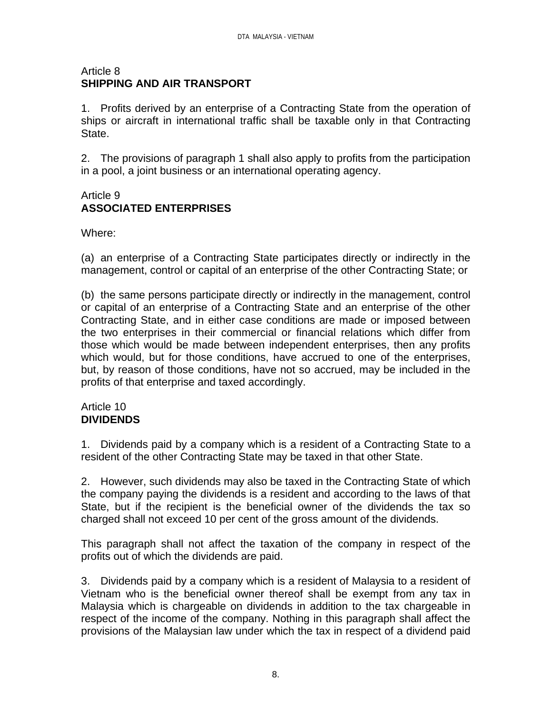#### Article 8 **SHIPPING AND AIR TRANSPORT**

1. Profits derived by an enterprise of a Contracting State from the operation of ships or aircraft in international traffic shall be taxable only in that Contracting State.

2. The provisions of paragraph 1 shall also apply to profits from the participation in a pool, a joint business or an international operating agency.

### Article 9 **ASSOCIATED ENTERPRISES**

Where:

(a) an enterprise of a Contracting State participates directly or indirectly in the management, control or capital of an enterprise of the other Contracting State; or

(b) the same persons participate directly or indirectly in the management, control or capital of an enterprise of a Contracting State and an enterprise of the other Contracting State, and in either case conditions are made or imposed between the two enterprises in their commercial or financial relations which differ from those which would be made between independent enterprises, then any profits which would, but for those conditions, have accrued to one of the enterprises, but, by reason of those conditions, have not so accrued, may be included in the profits of that enterprise and taxed accordingly.

## Article 10 **DIVIDENDS**

1. Dividends paid by a company which is a resident of a Contracting State to a resident of the other Contracting State may be taxed in that other State.

2. However, such dividends may also be taxed in the Contracting State of which the company paying the dividends is a resident and according to the laws of that State, but if the recipient is the beneficial owner of the dividends the tax so charged shall not exceed 10 per cent of the gross amount of the dividends.

This paragraph shall not affect the taxation of the company in respect of the profits out of which the dividends are paid.

3. Dividends paid by a company which is a resident of Malaysia to a resident of Vietnam who is the beneficial owner thereof shall be exempt from any tax in Malaysia which is chargeable on dividends in addition to the tax chargeable in respect of the income of the company. Nothing in this paragraph shall affect the provisions of the Malaysian law under which the tax in respect of a dividend paid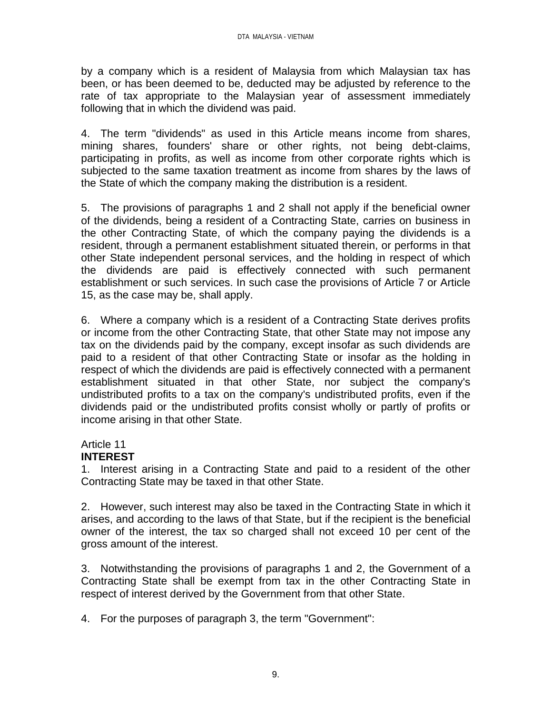by a company which is a resident of Malaysia from which Malaysian tax has been, or has been deemed to be, deducted may be adjusted by reference to the rate of tax appropriate to the Malaysian year of assessment immediately following that in which the dividend was paid.

4. The term "dividends" as used in this Article means income from shares, mining shares, founders' share or other rights, not being debt-claims, participating in profits, as well as income from other corporate rights which is subjected to the same taxation treatment as income from shares by the laws of the State of which the company making the distribution is a resident.

5. The provisions of paragraphs 1 and 2 shall not apply if the beneficial owner of the dividends, being a resident of a Contracting State, carries on business in the other Contracting State, of which the company paying the dividends is a resident, through a permanent establishment situated therein, or performs in that other State independent personal services, and the holding in respect of which the dividends are paid is effectively connected with such permanent establishment or such services. In such case the provisions of Article 7 or Article 15, as the case may be, shall apply.

6. Where a company which is a resident of a Contracting State derives profits or income from the other Contracting State, that other State may not impose any tax on the dividends paid by the company, except insofar as such dividends are paid to a resident of that other Contracting State or insofar as the holding in respect of which the dividends are paid is effectively connected with a permanent establishment situated in that other State, nor subject the company's undistributed profits to a tax on the company's undistributed profits, even if the dividends paid or the undistributed profits consist wholly or partly of profits or income arising in that other State.

#### Article 11 **INTEREST**

1. Interest arising in a Contracting State and paid to a resident of the other Contracting State may be taxed in that other State.

2. However, such interest may also be taxed in the Contracting State in which it arises, and according to the laws of that State, but if the recipient is the beneficial owner of the interest, the tax so charged shall not exceed 10 per cent of the gross amount of the interest.

3. Notwithstanding the provisions of paragraphs 1 and 2, the Government of a Contracting State shall be exempt from tax in the other Contracting State in respect of interest derived by the Government from that other State.

4. For the purposes of paragraph 3, the term "Government":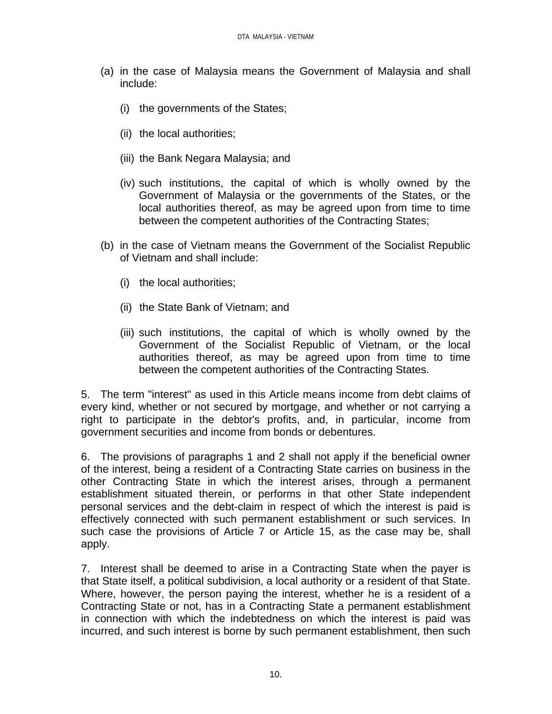- (a) in the case of Malaysia means the Government of Malaysia and shall include:
	- (i) the governments of the States;
	- (ii) the local authorities;
	- (iii) the Bank Negara Malaysia; and
	- (iv) such institutions, the capital of which is wholly owned by the Government of Malaysia or the governments of the States, or the local authorities thereof, as may be agreed upon from time to time between the competent authorities of the Contracting States;
- (b) in the case of Vietnam means the Government of the Socialist Republic of Vietnam and shall include:
	- (i) the local authorities;
	- (ii) the State Bank of Vietnam; and
	- (iii) such institutions, the capital of which is wholly owned by the Government of the Socialist Republic of Vietnam, or the local authorities thereof, as may be agreed upon from time to time between the competent authorities of the Contracting States.

5. The term "interest" as used in this Article means income from debt claims of every kind, whether or not secured by mortgage, and whether or not carrying a right to participate in the debtor's profits, and, in particular, income from government securities and income from bonds or debentures.

6. The provisions of paragraphs 1 and 2 shall not apply if the beneficial owner of the interest, being a resident of a Contracting State carries on business in the other Contracting State in which the interest arises, through a permanent establishment situated therein, or performs in that other State independent personal services and the debt-claim in respect of which the interest is paid is effectively connected with such permanent establishment or such services. In such case the provisions of Article 7 or Article 15, as the case may be, shall apply.

7. Interest shall be deemed to arise in a Contracting State when the payer is that State itself, a political subdivision, a local authority or a resident of that State. Where, however, the person paying the interest, whether he is a resident of a Contracting State or not, has in a Contracting State a permanent establishment in connection with which the indebtedness on which the interest is paid was incurred, and such interest is borne by such permanent establishment, then such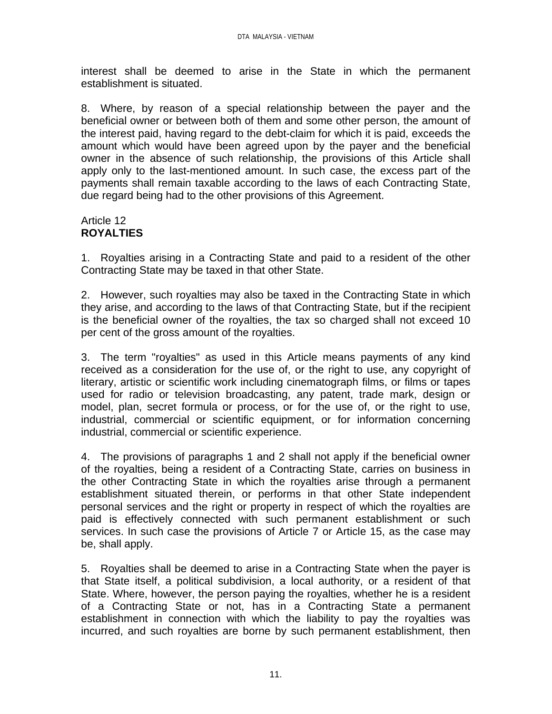interest shall be deemed to arise in the State in which the permanent establishment is situated.

8. Where, by reason of a special relationship between the payer and the beneficial owner or between both of them and some other person, the amount of the interest paid, having regard to the debt-claim for which it is paid, exceeds the amount which would have been agreed upon by the payer and the beneficial owner in the absence of such relationship, the provisions of this Article shall apply only to the last-mentioned amount. In such case, the excess part of the payments shall remain taxable according to the laws of each Contracting State, due regard being had to the other provisions of this Agreement.

### Article 12 **ROYALTIES**

1. Royalties arising in a Contracting State and paid to a resident of the other Contracting State may be taxed in that other State.

2. However, such royalties may also be taxed in the Contracting State in which they arise, and according to the laws of that Contracting State, but if the recipient is the beneficial owner of the royalties, the tax so charged shall not exceed 10 per cent of the gross amount of the royalties.

3. The term "royalties" as used in this Article means payments of any kind received as a consideration for the use of, or the right to use, any copyright of literary, artistic or scientific work including cinematograph films, or films or tapes used for radio or television broadcasting, any patent, trade mark, design or model, plan, secret formula or process, or for the use of, or the right to use, industrial, commercial or scientific equipment, or for information concerning industrial, commercial or scientific experience.

4. The provisions of paragraphs 1 and 2 shall not apply if the beneficial owner of the royalties, being a resident of a Contracting State, carries on business in the other Contracting State in which the royalties arise through a permanent establishment situated therein, or performs in that other State independent personal services and the right or property in respect of which the royalties are paid is effectively connected with such permanent establishment or such services. In such case the provisions of Article 7 or Article 15, as the case may be, shall apply.

5. Royalties shall be deemed to arise in a Contracting State when the payer is that State itself, a political subdivision, a local authority, or a resident of that State. Where, however, the person paying the royalties, whether he is a resident of a Contracting State or not, has in a Contracting State a permanent establishment in connection with which the liability to pay the royalties was incurred, and such royalties are borne by such permanent establishment, then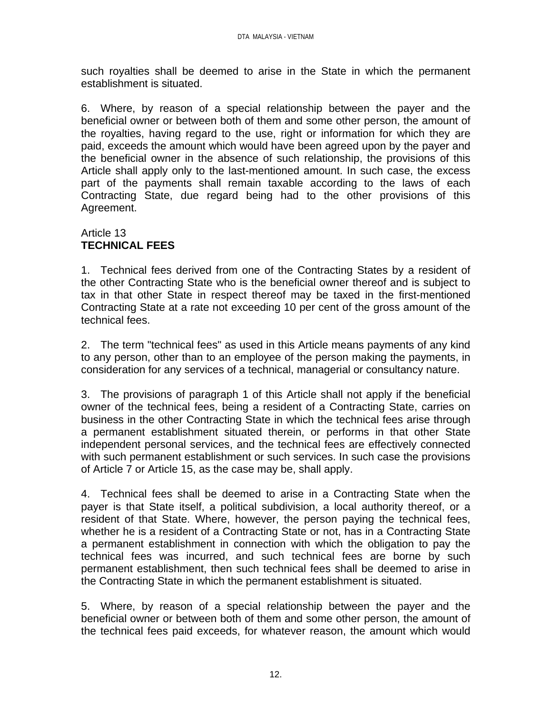such royalties shall be deemed to arise in the State in which the permanent establishment is situated.

6. Where, by reason of a special relationship between the payer and the beneficial owner or between both of them and some other person, the amount of the royalties, having regard to the use, right or information for which they are paid, exceeds the amount which would have been agreed upon by the payer and the beneficial owner in the absence of such relationship, the provisions of this Article shall apply only to the last-mentioned amount. In such case, the excess part of the payments shall remain taxable according to the laws of each Contracting State, due regard being had to the other provisions of this Agreement.

# Article 13 **TECHNICAL FEES**

1. Technical fees derived from one of the Contracting States by a resident of the other Contracting State who is the beneficial owner thereof and is subject to tax in that other State in respect thereof may be taxed in the first-mentioned Contracting State at a rate not exceeding 10 per cent of the gross amount of the technical fees.

2. The term "technical fees" as used in this Article means payments of any kind to any person, other than to an employee of the person making the payments, in consideration for any services of a technical, managerial or consultancy nature.

3. The provisions of paragraph 1 of this Article shall not apply if the beneficial owner of the technical fees, being a resident of a Contracting State, carries on business in the other Contracting State in which the technical fees arise through a permanent establishment situated therein, or performs in that other State independent personal services, and the technical fees are effectively connected with such permanent establishment or such services. In such case the provisions of Article 7 or Article 15, as the case may be, shall apply.

4. Technical fees shall be deemed to arise in a Contracting State when the payer is that State itself, a political subdivision, a local authority thereof, or a resident of that State. Where, however, the person paying the technical fees, whether he is a resident of a Contracting State or not, has in a Contracting State a permanent establishment in connection with which the obligation to pay the technical fees was incurred, and such technical fees are borne by such permanent establishment, then such technical fees shall be deemed to arise in the Contracting State in which the permanent establishment is situated.

5. Where, by reason of a special relationship between the payer and the beneficial owner or between both of them and some other person, the amount of the technical fees paid exceeds, for whatever reason, the amount which would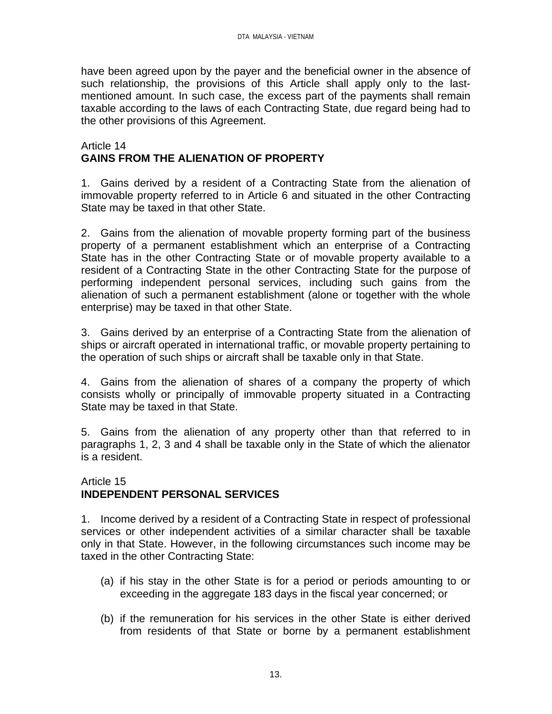have been agreed upon by the payer and the beneficial owner in the absence of such relationship, the provisions of this Article shall apply only to the lastmentioned amount. In such case, the excess part of the payments shall remain taxable according to the laws of each Contracting State, due regard being had to the other provisions of this Agreement.

#### Article 14 **GAINS FROM THE ALIENATION OF PROPERTY**

1. Gains derived by a resident of a Contracting State from the alienation of immovable property referred to in Article 6 and situated in the other Contracting State may be taxed in that other State.

2. Gains from the alienation of movable property forming part of the business property of a permanent establishment which an enterprise of a Contracting State has in the other Contracting State or of movable property available to a resident of a Contracting State in the other Contracting State for the purpose of performing independent personal services, including such gains from the alienation of such a permanent establishment (alone or together with the whole enterprise) may be taxed in that other State.

3. Gains derived by an enterprise of a Contracting State from the alienation of ships or aircraft operated in international traffic, or movable property pertaining to the operation of such ships or aircraft shall be taxable only in that State.

4. Gains from the alienation of shares of a company the property of which consists wholly or principally of immovable property situated in a Contracting State may be taxed in that State.

5. Gains from the alienation of any property other than that referred to in paragraphs 1, 2, 3 and 4 shall be taxable only in the State of which the alienator is a resident.

## Article 15 **INDEPENDENT PERSONAL SERVICES**

1. Income derived by a resident of a Contracting State in respect of professional services or other independent activities of a similar character shall be taxable only in that State. However, in the following circumstances such income may be taxed in the other Contracting State:

- (a) if his stay in the other State is for a period or periods amounting to or exceeding in the aggregate 183 days in the fiscal year concerned; or
- (b) if the remuneration for his services in the other State is either derived from residents of that State or borne by a permanent establishment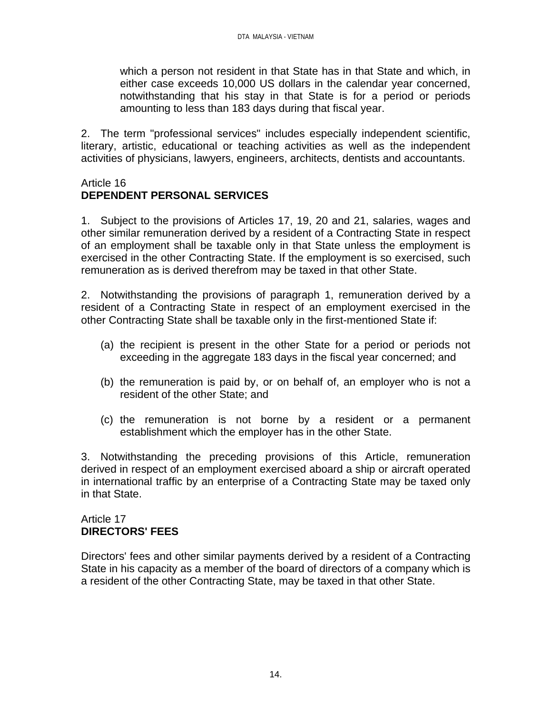which a person not resident in that State has in that State and which, in either case exceeds 10,000 US dollars in the calendar year concerned, notwithstanding that his stay in that State is for a period or periods amounting to less than 183 days during that fiscal year.

2. The term "professional services" includes especially independent scientific, literary, artistic, educational or teaching activities as well as the independent activities of physicians, lawyers, engineers, architects, dentists and accountants.

#### Article 16 **DEPENDENT PERSONAL SERVICES**

1. Subject to the provisions of Articles 17, 19, 20 and 21, salaries, wages and other similar remuneration derived by a resident of a Contracting State in respect of an employment shall be taxable only in that State unless the employment is exercised in the other Contracting State. If the employment is so exercised, such remuneration as is derived therefrom may be taxed in that other State.

2. Notwithstanding the provisions of paragraph 1, remuneration derived by a resident of a Contracting State in respect of an employment exercised in the other Contracting State shall be taxable only in the first-mentioned State if:

- (a) the recipient is present in the other State for a period or periods not exceeding in the aggregate 183 days in the fiscal year concerned; and
- (b) the remuneration is paid by, or on behalf of, an employer who is not a resident of the other State; and
- (c) the remuneration is not borne by a resident or a permanent establishment which the employer has in the other State.

3. Notwithstanding the preceding provisions of this Article, remuneration derived in respect of an employment exercised aboard a ship or aircraft operated in international traffic by an enterprise of a Contracting State may be taxed only in that State.

## Article 17 **DIRECTORS' FEES**

Directors' fees and other similar payments derived by a resident of a Contracting State in his capacity as a member of the board of directors of a company which is a resident of the other Contracting State, may be taxed in that other State.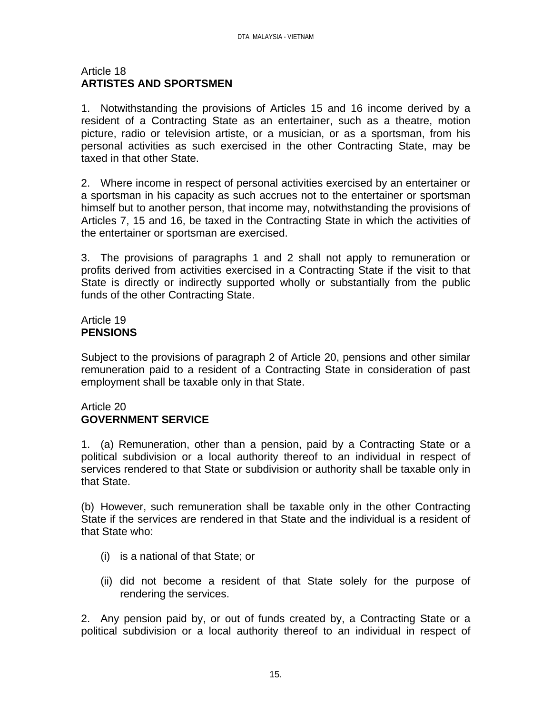#### Article 18 **ARTISTES AND SPORTSMEN**

1. Notwithstanding the provisions of Articles 15 and 16 income derived by a resident of a Contracting State as an entertainer, such as a theatre, motion picture, radio or television artiste, or a musician, or as a sportsman, from his personal activities as such exercised in the other Contracting State, may be taxed in that other State.

2. Where income in respect of personal activities exercised by an entertainer or a sportsman in his capacity as such accrues not to the entertainer or sportsman himself but to another person, that income may, notwithstanding the provisions of Articles 7, 15 and 16, be taxed in the Contracting State in which the activities of the entertainer or sportsman are exercised.

3. The provisions of paragraphs 1 and 2 shall not apply to remuneration or profits derived from activities exercised in a Contracting State if the visit to that State is directly or indirectly supported wholly or substantially from the public funds of the other Contracting State.

#### Article 19 **PENSIONS**

Subject to the provisions of paragraph 2 of Article 20, pensions and other similar remuneration paid to a resident of a Contracting State in consideration of past employment shall be taxable only in that State.

## Article 20 **GOVERNMENT SERVICE**

1. (a) Remuneration, other than a pension, paid by a Contracting State or a political subdivision or a local authority thereof to an individual in respect of services rendered to that State or subdivision or authority shall be taxable only in that State.

(b) However, such remuneration shall be taxable only in the other Contracting State if the services are rendered in that State and the individual is a resident of that State who:

- (i) is a national of that State; or
- (ii) did not become a resident of that State solely for the purpose of rendering the services.

2. Any pension paid by, or out of funds created by, a Contracting State or a political subdivision or a local authority thereof to an individual in respect of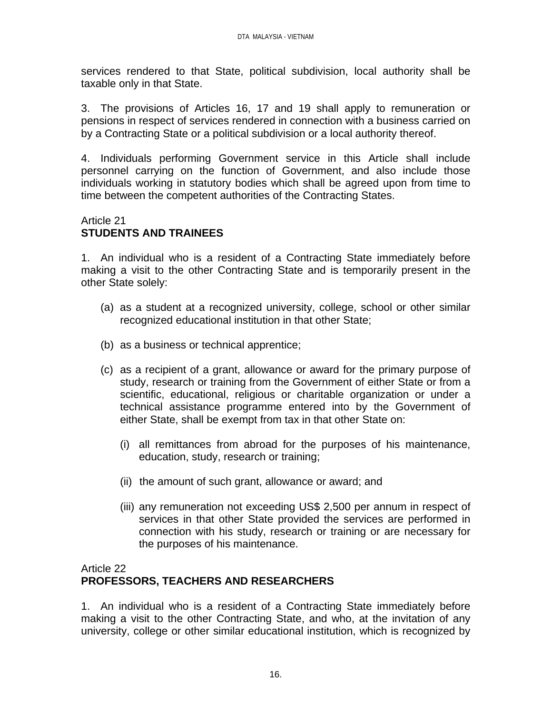services rendered to that State, political subdivision, local authority shall be taxable only in that State.

3. The provisions of Articles 16, 17 and 19 shall apply to remuneration or pensions in respect of services rendered in connection with a business carried on by a Contracting State or a political subdivision or a local authority thereof.

4. Individuals performing Government service in this Article shall include personnel carrying on the function of Government, and also include those individuals working in statutory bodies which shall be agreed upon from time to time between the competent authorities of the Contracting States.

#### Article 21 **STUDENTS AND TRAINEES**

1. An individual who is a resident of a Contracting State immediately before making a visit to the other Contracting State and is temporarily present in the other State solely:

- (a) as a student at a recognized university, college, school or other similar recognized educational institution in that other State;
- (b) as a business or technical apprentice;
- (c) as a recipient of a grant, allowance or award for the primary purpose of study, research or training from the Government of either State or from a scientific, educational, religious or charitable organization or under a technical assistance programme entered into by the Government of either State, shall be exempt from tax in that other State on:
	- (i) all remittances from abroad for the purposes of his maintenance, education, study, research or training;
	- (ii) the amount of such grant, allowance or award; and
	- (iii) any remuneration not exceeding US\$ 2,500 per annum in respect of services in that other State provided the services are performed in connection with his study, research or training or are necessary for the purposes of his maintenance.

#### Article 22

# **PROFESSORS, TEACHERS AND RESEARCHERS**

1. An individual who is a resident of a Contracting State immediately before making a visit to the other Contracting State, and who, at the invitation of any university, college or other similar educational institution, which is recognized by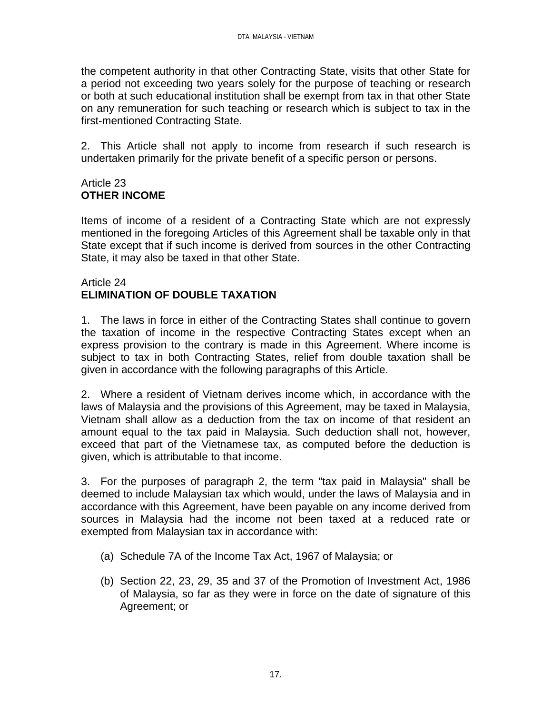the competent authority in that other Contracting State, visits that other State for a period not exceeding two years solely for the purpose of teaching or research or both at such educational institution shall be exempt from tax in that other State on any remuneration for such teaching or research which is subject to tax in the first-mentioned Contracting State.

2. This Article shall not apply to income from research if such research is undertaken primarily for the private benefit of a specific person or persons.

## Article 23 **OTHER INCOME**

Items of income of a resident of a Contracting State which are not expressly mentioned in the foregoing Articles of this Agreement shall be taxable only in that State except that if such income is derived from sources in the other Contracting State, it may also be taxed in that other State.

## Article 24 **ELIMINATION OF DOUBLE TAXATION**

1. The laws in force in either of the Contracting States shall continue to govern the taxation of income in the respective Contracting States except when an express provision to the contrary is made in this Agreement. Where income is subject to tax in both Contracting States, relief from double taxation shall be given in accordance with the following paragraphs of this Article.

2. Where a resident of Vietnam derives income which, in accordance with the laws of Malaysia and the provisions of this Agreement, may be taxed in Malaysia, Vietnam shall allow as a deduction from the tax on income of that resident an amount equal to the tax paid in Malaysia. Such deduction shall not, however, exceed that part of the Vietnamese tax, as computed before the deduction is given, which is attributable to that income.

3. For the purposes of paragraph 2, the term "tax paid in Malaysia" shall be deemed to include Malaysian tax which would, under the laws of Malaysia and in accordance with this Agreement, have been payable on any income derived from sources in Malaysia had the income not been taxed at a reduced rate or exempted from Malaysian tax in accordance with:

- (a) Schedule 7A of the Income Tax Act, 1967 of Malaysia; or
- (b) Section 22, 23, 29, 35 and 37 of the Promotion of Investment Act, 1986 of Malaysia, so far as they were in force on the date of signature of this Agreement; or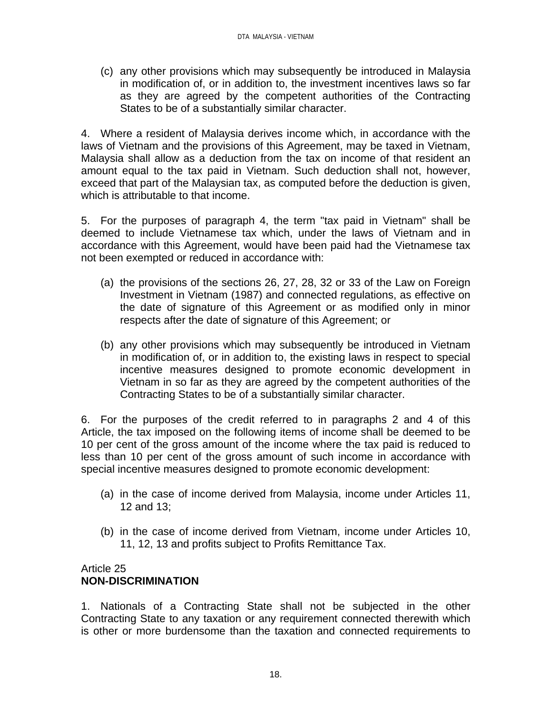(c) any other provisions which may subsequently be introduced in Malaysia in modification of, or in addition to, the investment incentives laws so far as they are agreed by the competent authorities of the Contracting States to be of a substantially similar character.

4. Where a resident of Malaysia derives income which, in accordance with the laws of Vietnam and the provisions of this Agreement, may be taxed in Vietnam, Malaysia shall allow as a deduction from the tax on income of that resident an amount equal to the tax paid in Vietnam. Such deduction shall not, however, exceed that part of the Malaysian tax, as computed before the deduction is given, which is attributable to that income.

5. For the purposes of paragraph 4, the term "tax paid in Vietnam" shall be deemed to include Vietnamese tax which, under the laws of Vietnam and in accordance with this Agreement, would have been paid had the Vietnamese tax not been exempted or reduced in accordance with:

- (a) the provisions of the sections 26, 27, 28, 32 or 33 of the Law on Foreign Investment in Vietnam (1987) and connected regulations, as effective on the date of signature of this Agreement or as modified only in minor respects after the date of signature of this Agreement; or
- (b) any other provisions which may subsequently be introduced in Vietnam in modification of, or in addition to, the existing laws in respect to special incentive measures designed to promote economic development in Vietnam in so far as they are agreed by the competent authorities of the Contracting States to be of a substantially similar character.

6. For the purposes of the credit referred to in paragraphs 2 and 4 of this Article, the tax imposed on the following items of income shall be deemed to be 10 per cent of the gross amount of the income where the tax paid is reduced to less than 10 per cent of the gross amount of such income in accordance with special incentive measures designed to promote economic development:

- (a) in the case of income derived from Malaysia, income under Articles 11, 12 and 13;
- (b) in the case of income derived from Vietnam, income under Articles 10, 11, 12, 13 and profits subject to Profits Remittance Tax.

# Article 25 **NON-DISCRIMINATION**

1. Nationals of a Contracting State shall not be subjected in the other Contracting State to any taxation or any requirement connected therewith which is other or more burdensome than the taxation and connected requirements to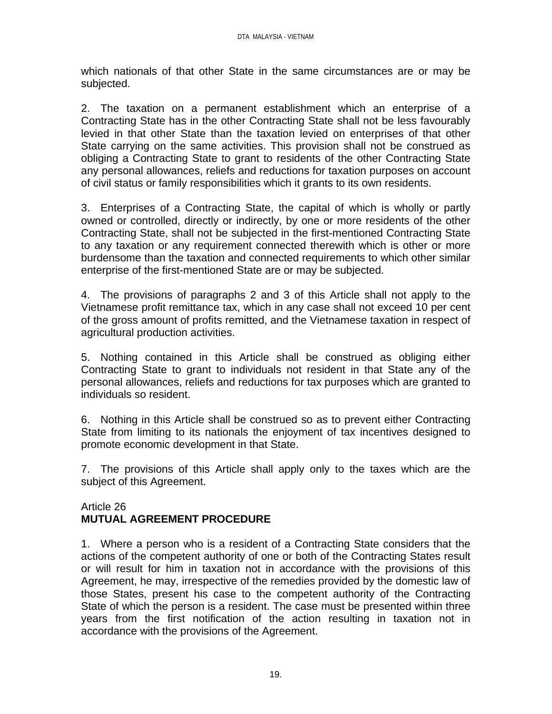which nationals of that other State in the same circumstances are or may be subjected.

2. The taxation on a permanent establishment which an enterprise of a Contracting State has in the other Contracting State shall not be less favourably levied in that other State than the taxation levied on enterprises of that other State carrying on the same activities. This provision shall not be construed as obliging a Contracting State to grant to residents of the other Contracting State any personal allowances, reliefs and reductions for taxation purposes on account of civil status or family responsibilities which it grants to its own residents.

3. Enterprises of a Contracting State, the capital of which is wholly or partly owned or controlled, directly or indirectly, by one or more residents of the other Contracting State, shall not be subjected in the first-mentioned Contracting State to any taxation or any requirement connected therewith which is other or more burdensome than the taxation and connected requirements to which other similar enterprise of the first-mentioned State are or may be subjected.

4. The provisions of paragraphs 2 and 3 of this Article shall not apply to the Vietnamese profit remittance tax, which in any case shall not exceed 10 per cent of the gross amount of profits remitted, and the Vietnamese taxation in respect of agricultural production activities.

5. Nothing contained in this Article shall be construed as obliging either Contracting State to grant to individuals not resident in that State any of the personal allowances, reliefs and reductions for tax purposes which are granted to individuals so resident.

6. Nothing in this Article shall be construed so as to prevent either Contracting State from limiting to its nationals the enjoyment of tax incentives designed to promote economic development in that State.

7. The provisions of this Article shall apply only to the taxes which are the subject of this Agreement.

## Article 26 **MUTUAL AGREEMENT PROCEDURE**

1. Where a person who is a resident of a Contracting State considers that the actions of the competent authority of one or both of the Contracting States result or will result for him in taxation not in accordance with the provisions of this Agreement, he may, irrespective of the remedies provided by the domestic law of those States, present his case to the competent authority of the Contracting State of which the person is a resident. The case must be presented within three years from the first notification of the action resulting in taxation not in accordance with the provisions of the Agreement.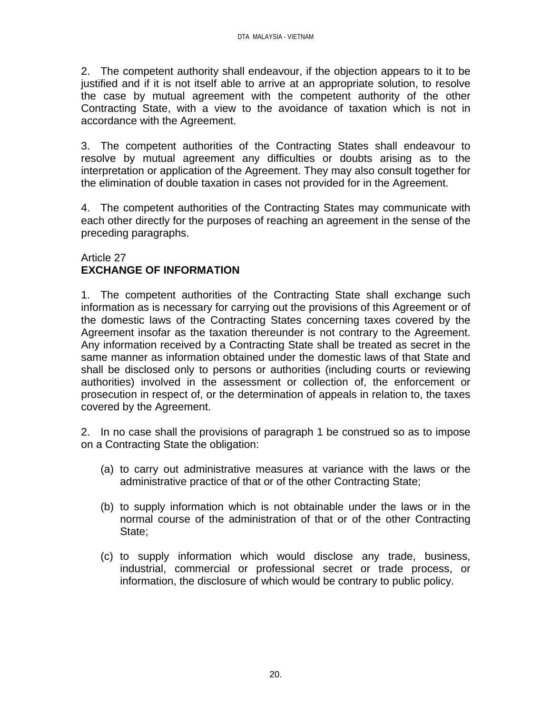2. The competent authority shall endeavour, if the objection appears to it to be justified and if it is not itself able to arrive at an appropriate solution, to resolve the case by mutual agreement with the competent authority of the other Contracting State, with a view to the avoidance of taxation which is not in accordance with the Agreement.

3. The competent authorities of the Contracting States shall endeavour to resolve by mutual agreement any difficulties or doubts arising as to the interpretation or application of the Agreement. They may also consult together for the elimination of double taxation in cases not provided for in the Agreement.

4. The competent authorities of the Contracting States may communicate with each other directly for the purposes of reaching an agreement in the sense of the preceding paragraphs.

## Article 27 **EXCHANGE OF INFORMATION**

1. The competent authorities of the Contracting State shall exchange such information as is necessary for carrying out the provisions of this Agreement or of the domestic laws of the Contracting States concerning taxes covered by the Agreement insofar as the taxation thereunder is not contrary to the Agreement. Any information received by a Contracting State shall be treated as secret in the same manner as information obtained under the domestic laws of that State and shall be disclosed only to persons or authorities (including courts or reviewing authorities) involved in the assessment or collection of, the enforcement or prosecution in respect of, or the determination of appeals in relation to, the taxes covered by the Agreement.

2. In no case shall the provisions of paragraph 1 be construed so as to impose on a Contracting State the obligation:

- (a) to carry out administrative measures at variance with the laws or the administrative practice of that or of the other Contracting State;
- (b) to supply information which is not obtainable under the laws or in the normal course of the administration of that or of the other Contracting State;
- (c) to supply information which would disclose any trade, business, industrial, commercial or professional secret or trade process, or information, the disclosure of which would be contrary to public policy.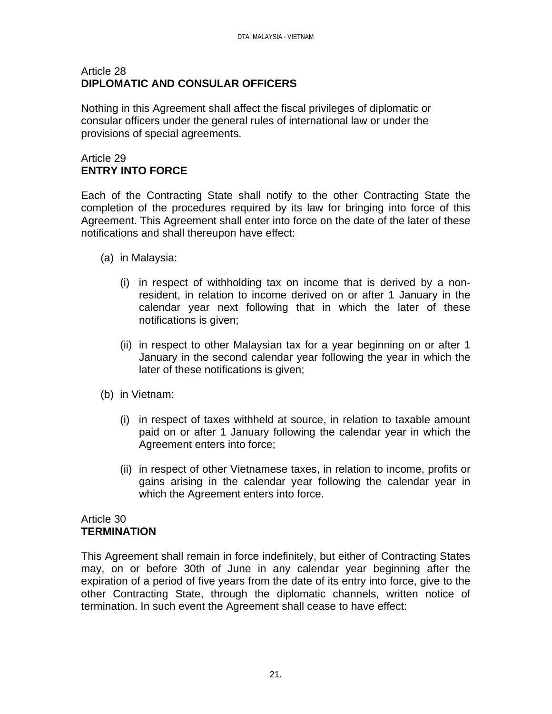### Article 28 **DIPLOMATIC AND CONSULAR OFFICERS**

Nothing in this Agreement shall affect the fiscal privileges of diplomatic or consular officers under the general rules of international law or under the provisions of special agreements.

# Article 29 **ENTRY INTO FORCE**

Each of the Contracting State shall notify to the other Contracting State the completion of the procedures required by its law for bringing into force of this Agreement. This Agreement shall enter into force on the date of the later of these notifications and shall thereupon have effect:

- (a) in Malaysia:
	- (i) in respect of withholding tax on income that is derived by a nonresident, in relation to income derived on or after 1 January in the calendar year next following that in which the later of these notifications is given;
	- (ii) in respect to other Malaysian tax for a year beginning on or after 1 January in the second calendar year following the year in which the later of these notifications is given;
- (b) in Vietnam:
	- (i) in respect of taxes withheld at source, in relation to taxable amount paid on or after 1 January following the calendar year in which the Agreement enters into force;
	- (ii) in respect of other Vietnamese taxes, in relation to income, profits or gains arising in the calendar year following the calendar year in which the Agreement enters into force.

#### Article 30 **TERMINATION**

This Agreement shall remain in force indefinitely, but either of Contracting States may, on or before 30th of June in any calendar year beginning after the expiration of a period of five years from the date of its entry into force, give to the other Contracting State, through the diplomatic channels, written notice of termination. In such event the Agreement shall cease to have effect: